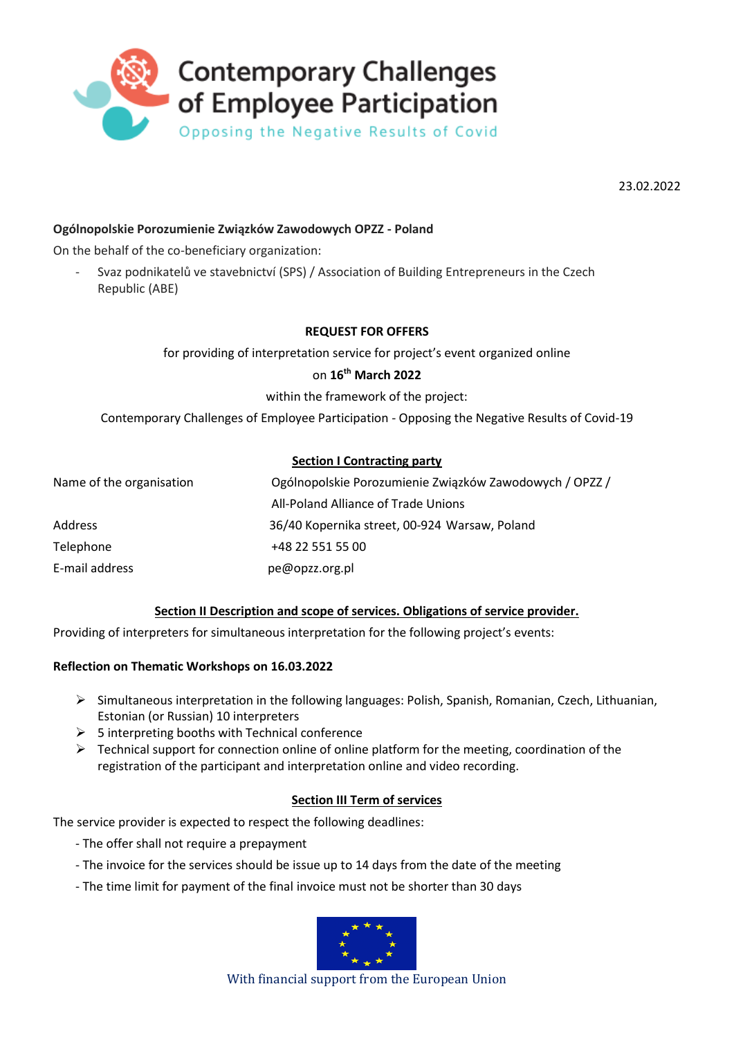

23.02.2022

## **Ogólnopolskie Porozumienie Związków Zawodowych OPZZ - Poland**

On the behalf of the co-beneficiary organization:

- Svaz podnikatelů ve stavebnictví (SPS) / Association of Building Entrepreneurs in the Czech Republic (ABE)

## **REQUEST FOR OFFERS**

for providing of interpretation service for project's event organized online

### on **16th March 2022**

within the framework of the project:

Contemporary Challenges of Employee Participation - Opposing the Negative Results of Covid-19

## **Section I Contracting party**

| Name of the organisation | Ogólnopolskie Porozumienie Związków Zawodowych / OPZZ / |
|--------------------------|---------------------------------------------------------|
|                          | All-Poland Alliance of Trade Unions                     |
| Address                  | 36/40 Kopernika street, 00-924 Warsaw, Poland           |
| Telephone                | +48 22 551 55 00                                        |
| E-mail address           | pe@opzz.org.pl                                          |

### **Section II Description and scope of services. Obligations of service provider.**

Providing of interpreters for simultaneous interpretation for the following project's events:

### **Reflection on Thematic Workshops on 16.03.2022**

- Simultaneous interpretation in the following languages: Polish, Spanish, Romanian, Czech, Lithuanian, Estonian (or Russian) 10 interpreters
- $\triangleright$  5 interpreting booths with Technical conference
- $\triangleright$  Technical support for connection online of online platform for the meeting, coordination of the registration of the participant and interpretation online and video recording.

## **Section III Term of services**

The service provider is expected to respect the following deadlines:

- The offer shall not require a prepayment
- The invoice for the services should be issue up to 14 days from the date of the meeting
- The time limit for payment of the final invoice must not be shorter than 30 days



With financial support from the European Union